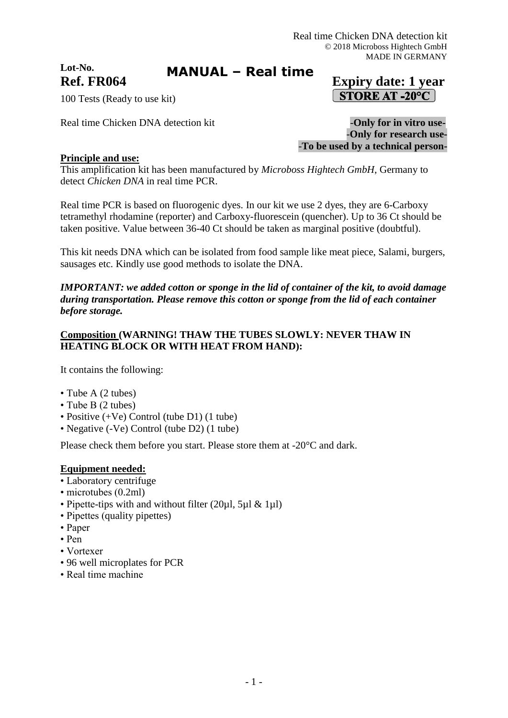# **Lot-No.**

## **MANUAL – Real time**

## 100 Tests (Ready to use kit)

Real time Chicken DNA detection kit **-Only for in vitro use-**

**Ref. FR064 Expiry date: 1 year STORE AT -20°C** 

> -**Only for research use-** -**To be used by a technical person-**

## **Principle and use:**

This amplification kit has been manufactured by *Microboss Hightech GmbH*, Germany to detect *Chicken DNA* in real time PCR.

Real time PCR is based on fluorogenic dyes. In our kit we use 2 dyes, they are 6-Carboxy tetramethyl rhodamine (reporter) and Carboxy-fluorescein (quencher). Up to 36 Ct should be taken positive. Value between 36-40 Ct should be taken as marginal positive (doubtful).

This kit needs DNA which can be isolated from food sample like meat piece, Salami, burgers, sausages etc. Kindly use good methods to isolate the DNA.

*IMPORTANT: we added cotton or sponge in the lid of container of the kit, to avoid damage during transportation. Please remove this cotton or sponge from the lid of each container before storage.*

### **Composition (WARNING! THAW THE TUBES SLOWLY: NEVER THAW IN HEATING BLOCK OR WITH HEAT FROM HAND):**

It contains the following:

- Tube A (2 tubes)
- Tube B (2 tubes)
- Positive (+Ve) Control (tube D1) (1 tube)
- Negative (-Ve) Control (tube D2) (1 tube)

Please check them before you start. Please store them at -20°C and dark.

#### **Equipment needed:**

- Laboratory centrifuge
- microtubes (0.2ml)
- Pipette-tips with and without filter  $(20\mu l, 5\mu l \& 1\mu l)$
- Pipettes (quality pipettes)
- Paper
- Pen
- Vortexer
- 96 well microplates for PCR
- Real time machine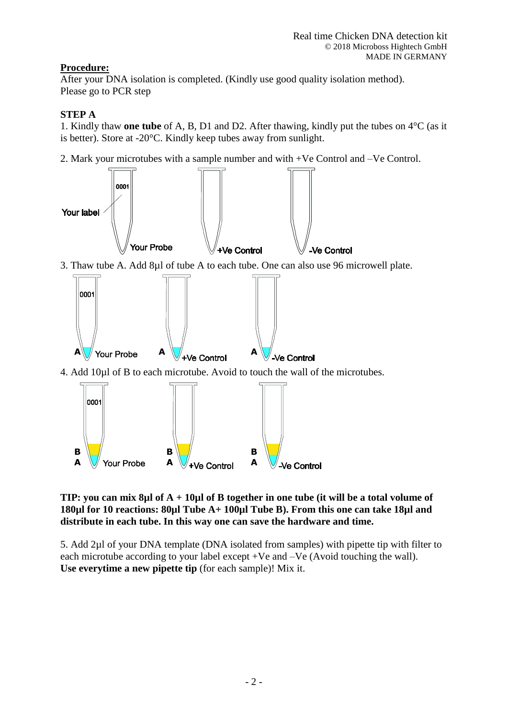## **Procedure:**

After your DNA isolation is completed. (Kindly use good quality isolation method). Please go to PCR step

## **STEP A**

1. Kindly thaw **one tube** of A, B, D1 and D2. After thawing, kindly put the tubes on 4°C (as it is better). Store at -20°C. Kindly keep tubes away from sunlight.

2. Mark your microtubes with a sample number and with +Ve Control and –Ve Control.



**TIP: you can mix 8µl of A + 10µl of B together in one tube (it will be a total volume of 180µl for 10 reactions: 80µl Tube A+ 100µl Tube B). From this one can take 18µl and distribute in each tube. In this way one can save the hardware and time.**

5. Add 2µl of your DNA template (DNA isolated from samples) with pipette tip with filter to each microtube according to your label except +Ve and –Ve (Avoid touching the wall). **Use everytime a new pipette tip** (for each sample)! Mix it.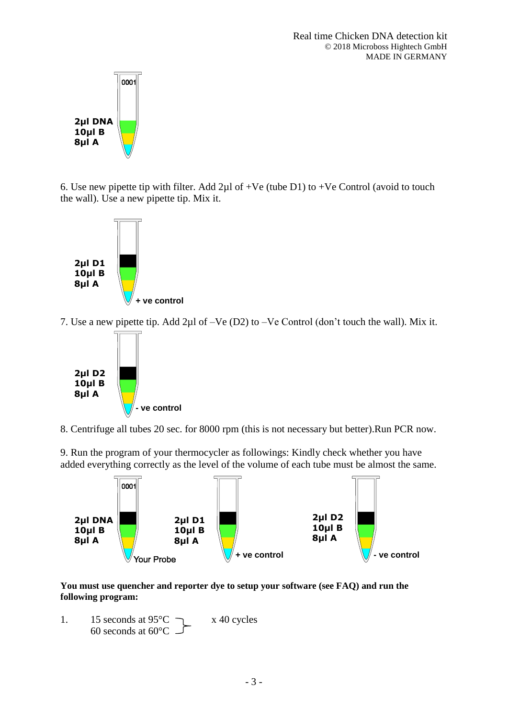

6. Use new pipette tip with filter. Add 2µl of +Ve (tube D1) to +Ve Control (avoid to touch the wall). Use a new pipette tip. Mix it.



7. Use a new pipette tip. Add 2µl of –Ve (D2) to –Ve Control (don't touch the wall). Mix it.



8. Centrifuge all tubes 20 sec. for 8000 rpm (this is not necessary but better).Run PCR now.

9. Run the program of your thermocycler as followings: Kindly check whether you have added everything correctly as the level of the volume of each tube must be almost the same.



**You must use quencher and reporter dye to setup your software (see FAQ) and run the following program:**